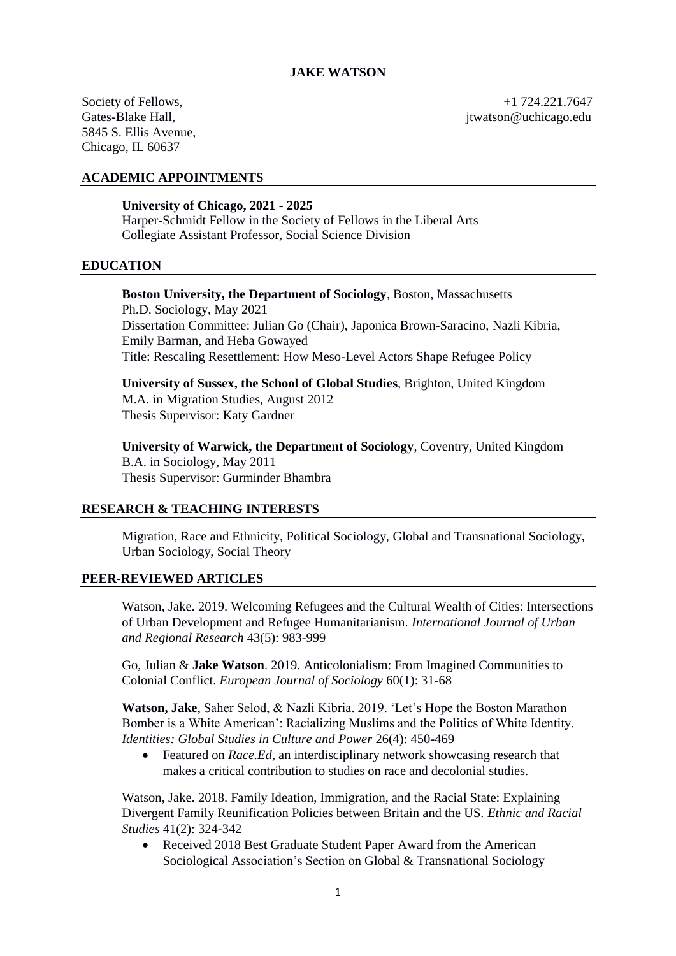5845 S. Ellis Avenue, Chicago, IL 60637

Society of Fellows,  $+1, 724.221.7647$ Gates-Blake Hall, Gates-Blake Hall, Gates-Blake Hall, Gates-Blake Hall, Gates-Blake Hall, Gates-Blake Hall, Gates-Blake Hall, Gates-Blake Hall, Gates-Blake Hall, Gates-Blake Hall, Gates-Blake Hall, Gates-Blake Hall, Gates-

# **ACADEMIC APPOINTMENTS**

### **University of Chicago, 2021 - 2025**

Harper-Schmidt Fellow in the Society of Fellows in the Liberal Arts Collegiate Assistant Professor, Social Science Division

# **EDUCATION**

# **Boston University, the Department of Sociology**, Boston, Massachusetts

Ph.D. Sociology, May 2021 Dissertation Committee: Julian Go (Chair), Japonica Brown-Saracino, Nazli Kibria, Emily Barman, and Heba Gowayed Title: Rescaling Resettlement: How Meso-Level Actors Shape Refugee Policy

**University of Sussex, the School of Global Studies**, Brighton, United Kingdom M.A. in Migration Studies, August 2012 Thesis Supervisor: Katy Gardner

**University of Warwick, the Department of Sociology**, Coventry, United Kingdom B.A. in Sociology, May 2011 Thesis Supervisor: Gurminder Bhambra

# **RESEARCH & TEACHING INTERESTS**

Migration, Race and Ethnicity, Political Sociology, Global and Transnational Sociology, Urban Sociology, Social Theory

# **PEER-REVIEWED ARTICLES**

Watson, Jake. 2019. Welcoming Refugees and the Cultural Wealth of Cities: Intersections of Urban Development and Refugee Humanitarianism. *International Journal of Urban and Regional Research* 43(5): 983-999

Go, Julian & **Jake Watson**. 2019. Anticolonialism: From Imagined Communities to Colonial Conflict. *European Journal of Sociology* 60(1): 31-68

**Watson, Jake**, Saher Selod, & Nazli Kibria. 2019. 'Let's Hope the Boston Marathon Bomber is a White American': Racializing Muslims and the Politics of White Identity. *Identities: Global Studies in Culture and Power* 26(4): 450-469

 Featured on *Race.Ed*, an interdisciplinary network showcasing research that makes a critical contribution to studies on race and decolonial studies.

Watson, Jake. 2018. Family Ideation, Immigration, and the Racial State: Explaining Divergent Family Reunification Policies between Britain and the US. *Ethnic and Racial Studies* 41(2): 324-342

 Received 2018 Best Graduate Student Paper Award from the American Sociological Association's Section on Global & Transnational Sociology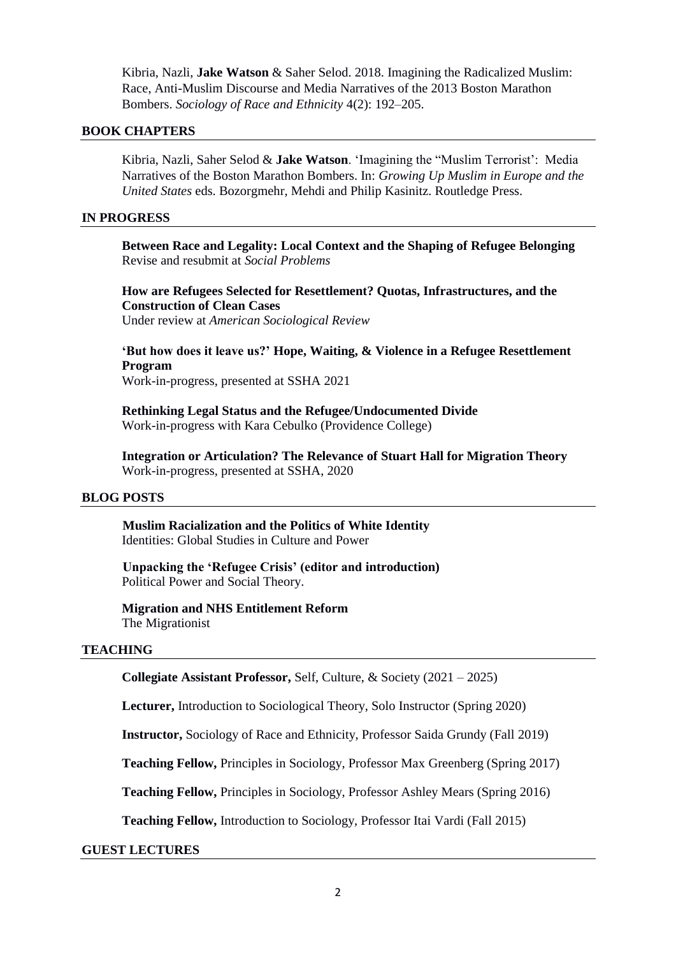Kibria, Nazli, **Jake Watson** & Saher Selod. 2018. Imagining the Radicalized Muslim: Race, Anti-Muslim Discourse and Media Narratives of the 2013 Boston Marathon Bombers. *Sociology of Race and Ethnicity* 4(2): 192–205.

# **BOOK CHAPTERS**

Kibria, Nazli, Saher Selod & **Jake Watson**. 'Imagining the "Muslim Terrorist': Media Narratives of the Boston Marathon Bombers. In: *Growing Up Muslim in Europe and the United States* eds. Bozorgmehr, Mehdi and Philip Kasinitz. Routledge Press.

# **IN PROGRESS**

**Between Race and Legality: Local Context and the Shaping of Refugee Belonging** Revise and resubmit at *Social Problems*

**How are Refugees Selected for Resettlement? Quotas, Infrastructures, and the Construction of Clean Cases**

Under review at *American Sociological Review*

**'But how does it leave us?' Hope, Waiting, & Violence in a Refugee Resettlement Program** Work-in-progress, presented at SSHA 2021

**Rethinking Legal Status and the Refugee/Undocumented Divide** Work-in-progress with Kara Cebulko (Providence College)

**Integration or Articulation? The Relevance of Stuart Hall for Migration Theory** Work-in-progress, presented at SSHA, 2020

# **BLOG POSTS**

**Muslim Racialization and the Politics of White Identity** Identities: Global Studies in Culture and Power

**Unpacking the 'Refugee Crisis' (editor and introduction)** Political Power and Social Theory.

**Migration and NHS Entitlement Reform** The Migrationist

# **TEACHING**

**Collegiate Assistant Professor,** Self, Culture, & Society (2021 – 2025)

**Lecturer,** Introduction to Sociological Theory, Solo Instructor (Spring 2020)

**Instructor,** Sociology of Race and Ethnicity, Professor Saida Grundy (Fall 2019)

**Teaching Fellow,** Principles in Sociology, Professor Max Greenberg (Spring 2017)

**Teaching Fellow,** Principles in Sociology, Professor Ashley Mears (Spring 2016)

**Teaching Fellow,** Introduction to Sociology, Professor Itai Vardi (Fall 2015)

# **GUEST LECTURES**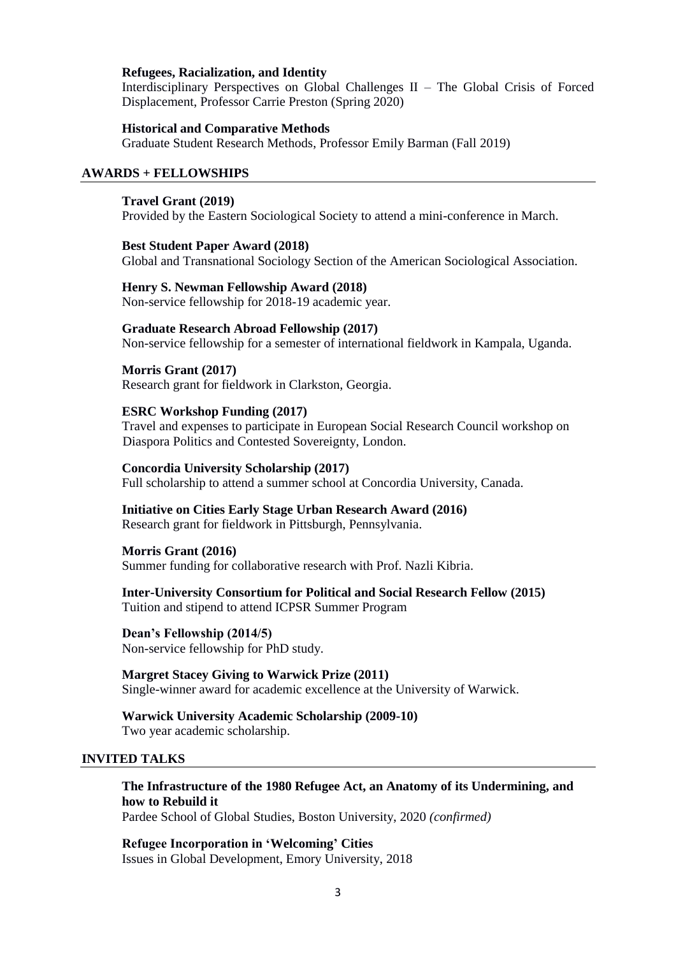### **Refugees, Racialization, and Identity**

Interdisciplinary Perspectives on Global Challenges II – The Global Crisis of Forced Displacement, Professor Carrie Preston (Spring 2020)

### **Historical and Comparative Methods**

Graduate Student Research Methods, Professor Emily Barman (Fall 2019)

### **AWARDS + FELLOWSHIPS**

### **Travel Grant (2019)**

Provided by the Eastern Sociological Society to attend a mini-conference in March.

## **Best Student Paper Award (2018)**

Global and Transnational Sociology Section of the American Sociological Association.

# **Henry S. Newman Fellowship Award (2018)**

Non-service fellowship for 2018-19 academic year.

### **Graduate Research Abroad Fellowship (2017)**

Non-service fellowship for a semester of international fieldwork in Kampala, Uganda.

# **Morris Grant (2017)**

Research grant for fieldwork in Clarkston, Georgia.

## **ESRC Workshop Funding (2017)**

Travel and expenses to participate in European Social Research Council workshop on Diaspora Politics and Contested Sovereignty, London.

## **Concordia University Scholarship (2017)**

Full scholarship to attend a summer school at Concordia University, Canada.

#### **Initiative on Cities Early Stage Urban Research Award (2016)**

Research grant for fieldwork in Pittsburgh, Pennsylvania.

### **Morris Grant (2016)**

Summer funding for collaborative research with Prof. Nazli Kibria.

# **Inter-University Consortium for Political and Social Research Fellow (2015)**  Tuition and stipend to attend ICPSR Summer Program

**Dean's Fellowship (2014/5)**  Non-service fellowship for PhD study.

**Margret Stacey Giving to Warwick Prize (2011)** Single-winner award for academic excellence at the University of Warwick.

# **Warwick University Academic Scholarship (2009-10)**  Two year academic scholarship.

### **INVITED TALKS**

# **The Infrastructure of the 1980 Refugee Act, an Anatomy of its Undermining, and how to Rebuild it**

Pardee School of Global Studies, Boston University, 2020 *(confirmed)*

**Refugee Incorporation in 'Welcoming' Cities** Issues in Global Development, Emory University, 2018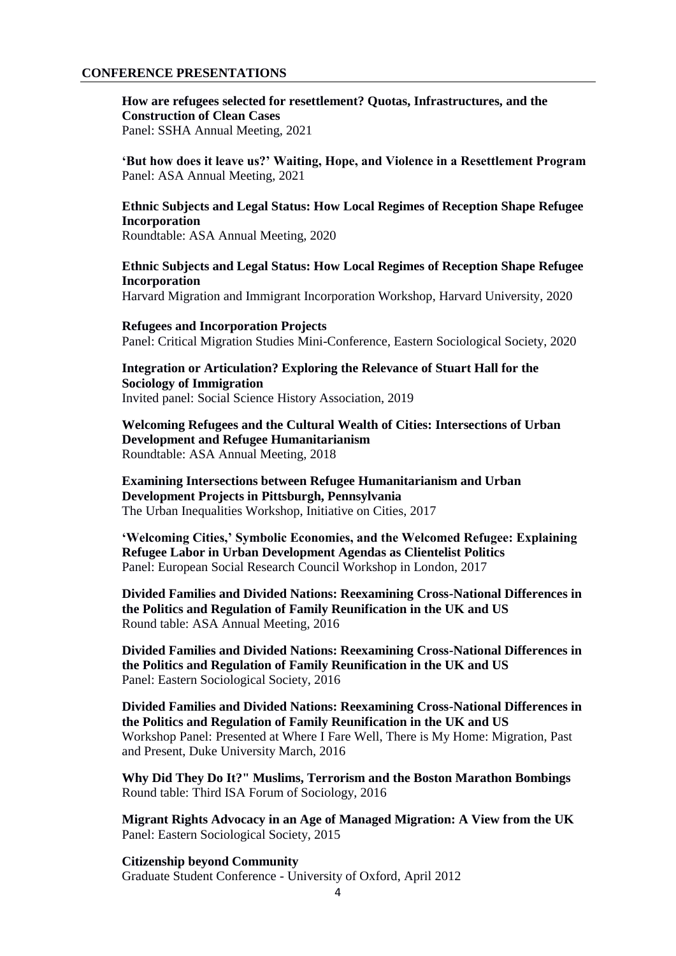### **CONFERENCE PRESENTATIONS**

**How are refugees selected for resettlement? Quotas, Infrastructures, and the Construction of Clean Cases**

Panel: SSHA Annual Meeting, 2021

**'But how does it leave us?' Waiting, Hope, and Violence in a Resettlement Program** Panel: ASA Annual Meeting, 2021

# **Ethnic Subjects and Legal Status: How Local Regimes of Reception Shape Refugee Incorporation**

Roundtable: ASA Annual Meeting, 2020

# **Ethnic Subjects and Legal Status: How Local Regimes of Reception Shape Refugee Incorporation**

Harvard Migration and Immigrant Incorporation Workshop, Harvard University, 2020

### **Refugees and Incorporation Projects**

Panel: Critical Migration Studies Mini-Conference, Eastern Sociological Society, 2020

**Integration or Articulation? Exploring the Relevance of Stuart Hall for the Sociology of Immigration** Invited panel: Social Science History Association, 2019

**Welcoming Refugees and the Cultural Wealth of Cities: Intersections of Urban Development and Refugee Humanitarianism** Roundtable: ASA Annual Meeting, 2018

**Examining Intersections between Refugee Humanitarianism and Urban Development Projects in Pittsburgh, Pennsylvania** The Urban Inequalities Workshop, Initiative on Cities, 2017

**'Welcoming Cities,' Symbolic Economies, and the Welcomed Refugee: Explaining Refugee Labor in Urban Development Agendas as Clientelist Politics** Panel: European Social Research Council Workshop in London, 2017

**Divided Families and Divided Nations: Reexamining Cross-National Differences in the Politics and Regulation of Family Reunification in the UK and US** Round table: ASA Annual Meeting, 2016

**Divided Families and Divided Nations: Reexamining Cross-National Differences in the Politics and Regulation of Family Reunification in the UK and US** Panel: Eastern Sociological Society, 2016

**Divided Families and Divided Nations: Reexamining Cross-National Differences in the Politics and Regulation of Family Reunification in the UK and US** Workshop Panel: Presented at Where I Fare Well, There is My Home: Migration, Past and Present, Duke University March, 2016

**Why Did They Do It?" Muslims, Terrorism and the Boston Marathon Bombings** Round table: Third ISA Forum of Sociology, 2016

**Migrant Rights Advocacy in an Age of Managed Migration: A View from the UK** Panel: Eastern Sociological Society, 2015

**Citizenship beyond Community** Graduate Student Conference - University of Oxford, April 2012